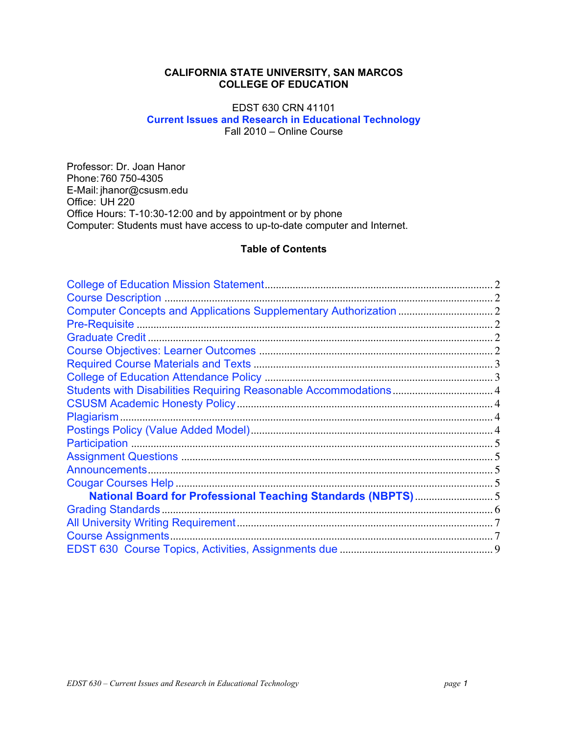# **CALIFORNIA STATE UNIVERSITY, SAN MARCOS COLLEGE OF EDUCATION**

# EDST 630 CRN 41101 **Current Issues and Research in Educational Technology** Fall 2010 – Online Course

Professor: Dr. Joan Hanor Phone:760 750-4305 E-Mail: jhanor@csusm.edu Office: UH 220 Office Hours: T-10:30-12:00 and by appointment or by phone Computer: Students must have access to up-to-date computer and Internet.

# **Table of Contents**

| National Board for Professional Teaching Standards (NBPTS)5 |  |
|-------------------------------------------------------------|--|
|                                                             |  |
|                                                             |  |
|                                                             |  |
|                                                             |  |
|                                                             |  |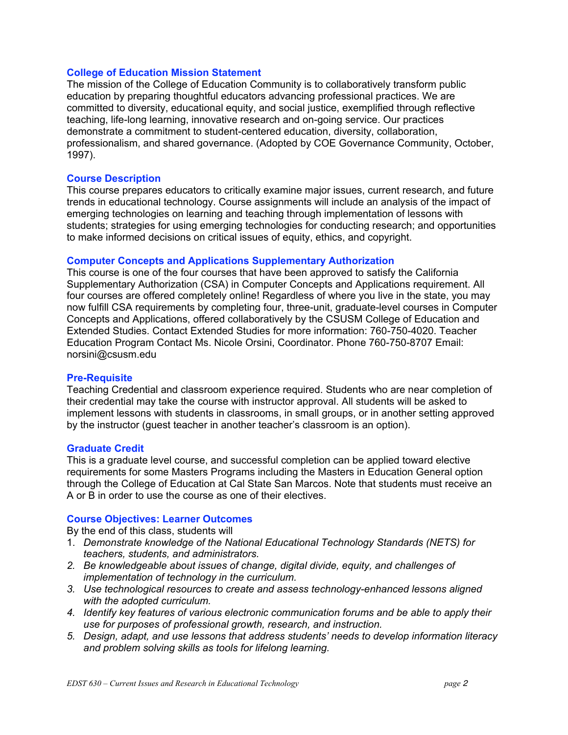# **College of Education Mission Statement**

The mission of the College of Education Community is to collaboratively transform public education by preparing thoughtful educators advancing professional practices. We are committed to diversity, educational equity, and social justice, exemplified through reflective teaching, life-long learning, innovative research and on-going service. Our practices demonstrate a commitment to student-centered education, diversity, collaboration, professionalism, and shared governance. (Adopted by COE Governance Community, October, 1997).

# **Course Description**

This course prepares educators to critically examine major issues, current research, and future trends in educational technology. Course assignments will include an analysis of the impact of emerging technologies on learning and teaching through implementation of lessons with students; strategies for using emerging technologies for conducting research; and opportunities to make informed decisions on critical issues of equity, ethics, and copyright.

#### **Computer Concepts and Applications Supplementary Authorization**

This course is one of the four courses that have been approved to satisfy the California Supplementary Authorization (CSA) in Computer Concepts and Applications requirement. All four courses are offered completely online! Regardless of where you live in the state, you may now fulfill CSA requirements by completing four, three-unit, graduate-level courses in Computer Concepts and Applications, offered collaboratively by the CSUSM College of Education and Extended Studies. Contact Extended Studies for more information: 760-750-4020. Teacher Education Program Contact Ms. Nicole Orsini, Coordinator. Phone 760-750-8707 Email: norsini@csusm.edu

## **Pre-Requisite**

Teaching Credential and classroom experience required. Students who are near completion of their credential may take the course with instructor approval. All students will be asked to implement lessons with students in classrooms, in small groups, or in another setting approved by the instructor (guest teacher in another teacher's classroom is an option).

#### **Graduate Credit**

This is a graduate level course, and successful completion can be applied toward elective requirements for some Masters Programs including the Masters in Education General option through the College of Education at Cal State San Marcos. Note that students must receive an A or B in order to use the course as one of their electives.

#### **Course Objectives: Learner Outcomes**

By the end of this class, students will

- 1. Demonstrate knowledge of the National Educational Technology Standards (NETS) for *teachers, students, and administrators.*
- *2. Be knowledgeable about issues of change, digital divide, equity, and challenges of implementation of technology in the curriculum.*
- *3. Use technological resources to create and assess technology-enhanced lessons aligned with the adopted curriculum.*
- *4. Identify key features of various electronic communication forums and be able to apply their use for purposes of professional growth, research, and instruction.*
- *5. Design, adapt, and use lessons that address students' needs to develop information literacy and problem solving skills as tools for lifelong learning.*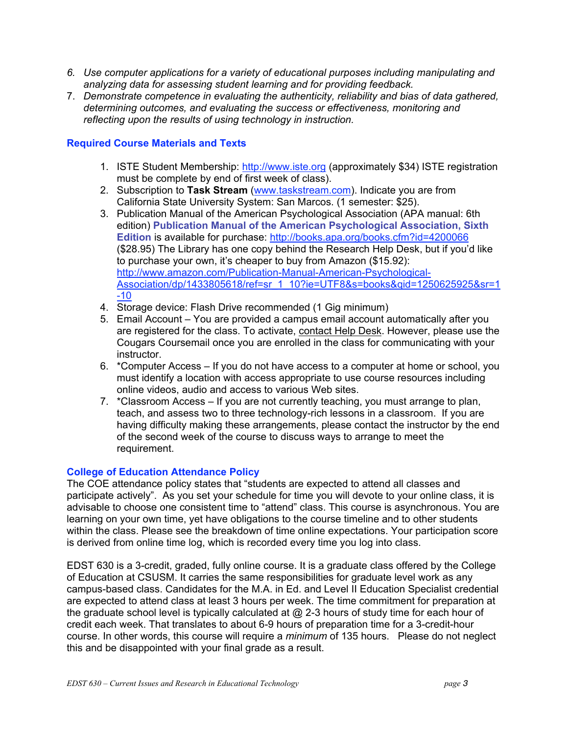- *6. Use computer applications for a variety of educational purposes including manipulating and analyzing data for assessing student learning and for providing feedback.*
- 7. *Demonstrate competence in evaluating the authenticity, reliability and bias of data gathered, determining outcomes, and evaluating the success or effectiveness, monitoring and reflecting upon the results of using technology in instruction.*

# **Required Course Materials and Texts**

- 1. ISTE Student Membership: http://www.iste.org (approximately \$34) ISTE registration must be complete by end of first week of class).
- 2. Subscription to **Task Stream** (www.taskstream.com). Indicate you are from California State University System: San Marcos. (1 semester: \$25).
- 3. Publication Manual of the American Psychological Association (APA manual: 6th edition) **Publication Manual of the American Psychological Association, Sixth Edition** is available for purchase: http://books.apa.org/books.cfm?id=4200066 (\$28.95) The Library has one copy behind the Research Help Desk, but if you'd like to purchase your own, it's cheaper to buy from Amazon (\$15.92): http://www.amazon.com/Publication-Manual-American-Psychological-Association/dp/1433805618/ref=sr\_1\_10?ie=UTF8&s=books&qid=1250625925&sr=1 -10
- 4. Storage device: Flash Drive recommended (1 Gig minimum)
- 5. Email Account You are provided a campus email account automatically after you are registered for the class. To activate, contact Help Desk. However, please use the Cougars Coursemail once you are enrolled in the class for communicating with your instructor.
- online videos, audio and access to various Web sites. 6.  $\cdot$  \*Computer Access – If you do not have access to a computer at home or school, you must identify a location with access appropriate to use course resources including
- teach, and assess two to three technology-rich lessons in a classroom. If you are requirement. 7. \*Classroom Access – If you are not currently teaching, you must arrange to plan, having difficulty making these arrangements, please contact the instructor by the end of the second week of the course to discuss ways to arrange to meet the

# **College of Education Attendance Policy**

The COE attendance policy states that "students are expected to attend all classes and participate actively". As you set your schedule for time you will devote to your online class, it is advisable to choose one consistent time to "attend" class. This course is asynchronous. You are learning on your own time, yet have obligations to the course timeline and to other students within the class. Please see the breakdown of time online expectations. Your participation score is derived from online time log, which is recorded every time you log into class.

EDST 630 is a 3-credit, graded, fully online course. It is a graduate class offered by the College of Education at CSUSM. It carries the same responsibilities for graduate level work as any campus-based class. Candidates for the M.A. in Ed. and Level II Education Specialist credential are expected to attend class at least 3 hours per week. The time commitment for preparation at the graduate school level is typically calculated at  $@$  2-3 hours of study time for each hour of credit each week. That translates to about 6-9 hours of preparation time for a 3-credit-hour course. In other words, this course will require a *minimum* of 135 hours. Please do not neglect this and be disappointed with your final grade as a result.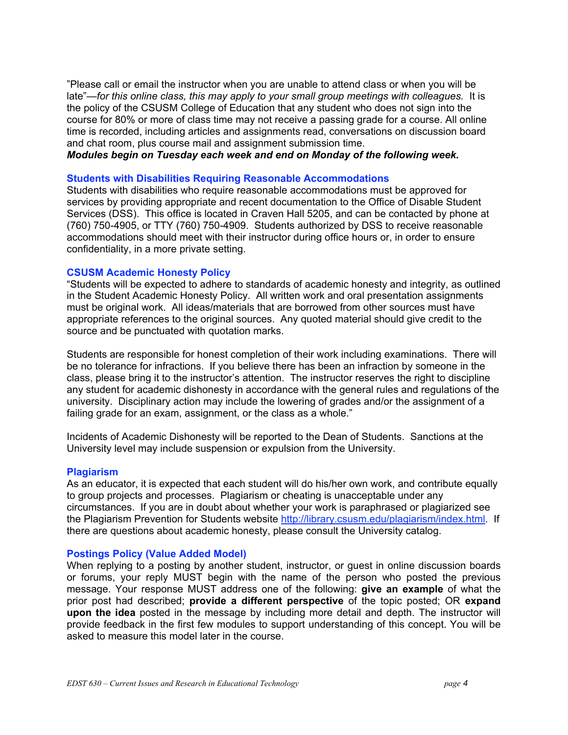"Please call or email the instructor when you are unable to attend class or when you will be late"—*for this online class, this may apply to your small group meetings with colleagues.* It is the policy of the CSUSM College of Education that any student who does not sign into the course for 80% or more of class time may not receive a passing grade for a course. All online time is recorded, including articles and assignments read, conversations on discussion board and chat room, plus course mail and assignment submission time.

*Modules begin on Tuesday each week and end on Monday of the following week.* 

#### **Students with Disabilities Requiring Reasonable Accommodations**

Students with disabilities who require reasonable accommodations must be approved for services by providing appropriate and recent documentation to the Office of Disable Student Services (DSS). This office is located in Craven Hall 5205, and can be contacted by phone at (760) 750-4905, or TTY (760) 750-4909. Students authorized by DSS to receive reasonable accommodations should meet with their instructor during office hours or, in order to ensure confidentiality, in a more private setting.

#### **CSUSM Academic Honesty Policy**

"Students will be expected to adhere to standards of academic honesty and integrity, as outlined in the Student Academic Honesty Policy. All written work and oral presentation assignments must be original work. All ideas/materials that are borrowed from other sources must have appropriate references to the original sources. Any quoted material should give credit to the source and be punctuated with quotation marks.

Students are responsible for honest completion of their work including examinations. There will be no tolerance for infractions. If you believe there has been an infraction by someone in the class, please bring it to the instructor's attention. The instructor reserves the right to discipline any student for academic dishonesty in accordance with the general rules and regulations of the university. Disciplinary action may include the lowering of grades and/or the assignment of a failing grade for an exam, assignment, or the class as a whole."

Incidents of Academic Dishonesty will be reported to the Dean of Students. Sanctions at the University level may include suspension or expulsion from the University.

#### **Plagiarism**

As an educator, it is expected that each student will do his/her own work, and contribute equally to group projects and processes. Plagiarism or cheating is unacceptable under any circumstances. If you are in doubt about whether your work is paraphrased or plagiarized see the Plagiarism Prevention for Students website http://library.csusm.edu/plagiarism/index.html. If there are questions about academic honesty, please consult the University catalog.

#### **Postings Policy (Value Added Model)**

 When replying to a posting by another student, instructor, or guest in online discussion boards or forums, your reply MUST begin with the name of the person who posted the previous message. Your response MUST address one of the following: **give an example** of what the prior post had described; **provide a different perspective** of the topic posted; OR **expand upon the idea** posted in the message by including more detail and depth. The instructor will provide feedback in the first few modules to support understanding of this concept. You will be asked to measure this model later in the course.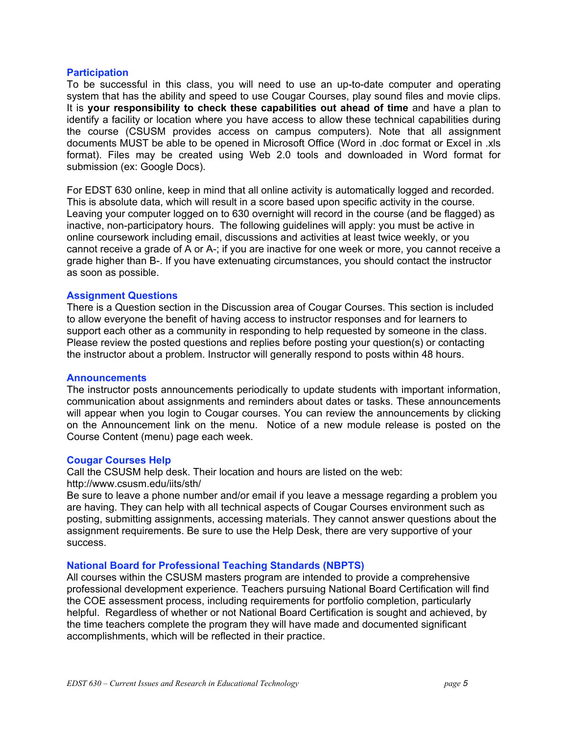#### **Participation**

 To be successful in this class, you will need to use an up-to-date computer and operating system that has the ability and speed to use Cougar Courses, play sound files and movie clips.  It is **your responsibility to check these capabilities out ahead of time** and have a plan to identify a facility or location where you have access to allow these technical capabilities during the course (CSUSM provides access on campus computers). Note that all assignment documents MUST be able to be opened in Microsoft Office (Word in .doc format or Excel in .xls format). Files may be created using Web 2.0 tools and downloaded in Word format for submission (ex: Google Docs).

For EDST 630 online, keep in mind that all online activity is automatically logged and recorded. This is absolute data, which will result in a score based upon specific activity in the course. Leaving your computer logged on to 630 overnight will record in the course (and be flagged) as inactive, non-participatory hours. The following guidelines will apply: you must be active in online coursework including email, discussions and activities at least twice weekly, or you cannot receive a grade of A or A-; if you are inactive for one week or more, you cannot receive a grade higher than B-. If you have extenuating circumstances, you should contact the instructor as soon as possible.

#### **Assignment Questions**

 the instructor about a problem. Instructor will generally respond to posts within 48 hours. There is a Question section in the Discussion area of Cougar Courses. This section is included to allow everyone the benefit of having access to instructor responses and for learners to support each other as a community in responding to help requested by someone in the class. Please review the posted questions and replies before posting your question(s) or contacting

#### **Announcements**

 The instructor posts announcements periodically to update students with important information, communication about assignments and reminders about dates or tasks. These announcements will appear when you login to Cougar courses. You can review the announcements by clicking on the Announcement link on the menu. Notice of a new module release is posted on the Course Content (menu) page each week.

#### **Cougar Courses Help**

http://www.csusm.edu/iits/sth/ Call the CSUSM help desk. Their location and hours are listed on the web:

Be sure to leave a phone number and/or email if you leave a message regarding a problem you are having. They can help with all technical aspects of Cougar Courses environment such as posting, submitting assignments, accessing materials. They cannot answer questions about the assignment requirements. Be sure to use the Help Desk, there are very supportive of your success.

#### **National Board for Professional Teaching Standards (NBPTS)**

All courses within the CSUSM masters program are intended to provide a comprehensive professional development experience. Teachers pursuing National Board Certification will find the COE assessment process, including requirements for portfolio completion, particularly helpful. Regardless of whether or not National Board Certification is sought and achieved, by the time teachers complete the program they will have made and documented significant accomplishments, which will be reflected in their practice.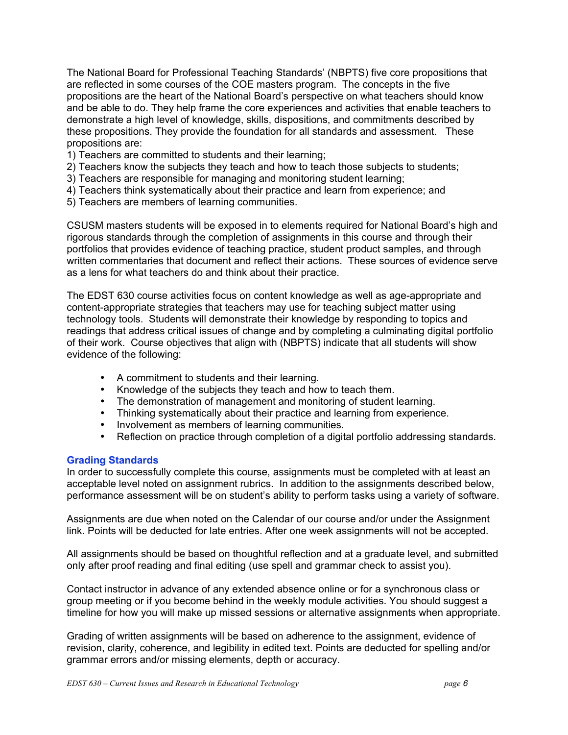The National Board for Professional Teaching Standards' (NBPTS) five core propositions that are reflected in some courses of the COE masters program. The concepts in the five propositions are the heart of the National Board's perspective on what teachers should know and be able to do. They help frame the core experiences and activities that enable teachers to demonstrate a high level of knowledge, skills, dispositions, and commitments described by these propositions. They provide the foundation for all standards and assessment. These propositions are:

- 1) Teachers are committed to students and their learning;
- 2) Teachers know the subjects they teach and how to teach those subjects to students;
- 3) Teachers are responsible for managing and monitoring student learning;
- 4) Teachers think systematically about their practice and learn from experience; and<br>5) Teachers are members of learning communities.
- 

CSUSM masters students will be exposed in to elements required for National Board's high and rigorous standards through the completion of assignments in this course and through their portfolios that provides evidence of teaching practice, student product samples, and through written commentaries that document and reflect their actions. These sources of evidence serve as a lens for what teachers do and think about their practice.

The EDST 630 course activities focus on content knowledge as well as age-appropriate and content-appropriate strategies that teachers may use for teaching subject matter using technology tools. Students will demonstrate their knowledge by responding to topics and readings that address critical issues of change and by completing a culminating digital portfolio of their work. Course objectives that align with (NBPTS) indicate that all students will show evidence of the following:

- A commitment to students and their learning.
- Knowledge of the subjects they teach and how to teach them.
- The demonstration of management and monitoring of student learning.
- Thinking systematically about their practice and learning from experience.
- Involvement as members of learning communities.
- Reflection on practice through completion of a digital portfolio addressing standards.

#### **Grading Standards**

In order to successfully complete this course, assignments must be completed with at least an acceptable level noted on assignment rubrics. In addition to the assignments described below, performance assessment will be on student's ability to perform tasks using a variety of software.

Assignments are due when noted on the Calendar of our course and/or under the Assignment link. Points will be deducted for late entries. After one week assignments will not be accepted.

All assignments should be based on thoughtful reflection and at a graduate level, and submitted only after proof reading and final editing (use spell and grammar check to assist you).

Contact instructor in advance of any extended absence online or for a synchronous class or group meeting or if you become behind in the weekly module activities. You should suggest a timeline for how you will make up missed sessions or alternative assignments when appropriate.

Grading of written assignments will be based on adherence to the assignment, evidence of revision, clarity, coherence, and legibility in edited text. Points are deducted for spelling and/or grammar errors and/or missing elements, depth or accuracy.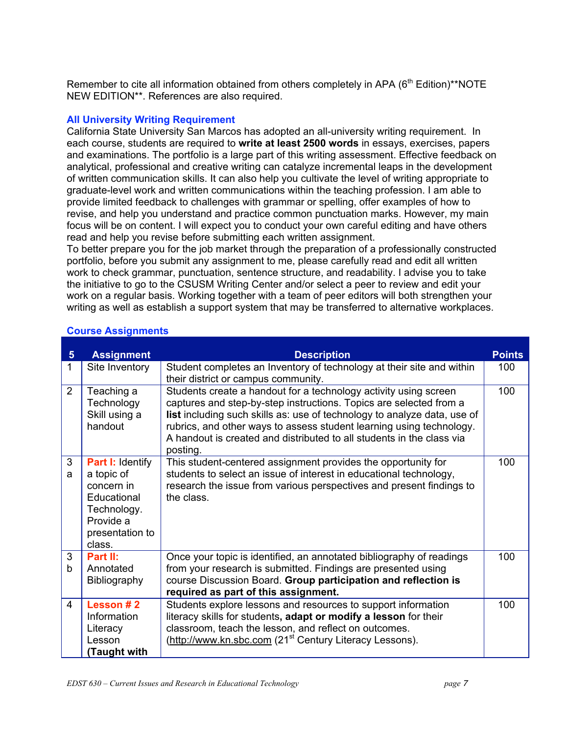Remember to cite all information obtained from others completely in APA  $(6<sup>th</sup> Edition)*<sup>**</sup>NOTE$ NEW EDITION\*\*. References are also required.

# **All University Writing Requirement**

read and help you revise before submitting each written assignment. California State University San Marcos has adopted an all-university writing requirement. In each course, students are required to **write at least 2500 words** in essays, exercises, papers and examinations. The portfolio is a large part of this writing assessment. Effective feedback on analytical, professional and creative writing can catalyze incremental leaps in the development of written communication skills. It can also help you cultivate the level of writing appropriate to graduate-level work and written communications within the teaching profession. I am able to provide limited feedback to challenges with grammar or spelling, offer examples of how to revise, and help you understand and practice common punctuation marks. However, my main focus will be on content. I will expect you to conduct your own careful editing and have others

To better prepare you for the job market through the preparation of a professionally constructed portfolio, before you submit any assignment to me, please carefully read and edit all written work to check grammar, punctuation, sentence structure, and readability. I advise you to take the initiative to go to the CSUSM Writing Center and/or select a peer to review and edit your work on a regular basis. Working together with a team of peer editors will both strengthen your writing as well as establish a support system that may be transferred to alternative workplaces.

| $5\phantom{1}$ | <b>Assignment</b>                                                                                                           | <b>Description</b>                                                                                                                                                                                                                                                                                                                                                              | <b>Points</b> |
|----------------|-----------------------------------------------------------------------------------------------------------------------------|---------------------------------------------------------------------------------------------------------------------------------------------------------------------------------------------------------------------------------------------------------------------------------------------------------------------------------------------------------------------------------|---------------|
| 1              | Site Inventory                                                                                                              | Student completes an Inventory of technology at their site and within<br>their district or campus community.                                                                                                                                                                                                                                                                    | 100           |
| 2              | Teaching a<br>Technology<br>Skill using a<br>handout                                                                        | Students create a handout for a technology activity using screen<br>captures and step-by-step instructions. Topics are selected from a<br>list including such skills as: use of technology to analyze data, use of<br>rubrics, and other ways to assess student learning using technology.<br>A handout is created and distributed to all students in the class via<br>posting. | 100           |
| 3<br>a         | <b>Part I: Identify</b><br>a topic of<br>concern in<br>Educational<br>Technology.<br>Provide a<br>presentation to<br>class. | This student-centered assignment provides the opportunity for<br>students to select an issue of interest in educational technology,<br>research the issue from various perspectives and present findings to<br>the class.                                                                                                                                                       | 100           |
| 3<br>b         | Part II:<br>Annotated<br>Bibliography                                                                                       | Once your topic is identified, an annotated bibliography of readings<br>from your research is submitted. Findings are presented using<br>course Discussion Board. Group participation and reflection is<br>required as part of this assignment.                                                                                                                                 | 100           |
| 4              | Lesson #2<br>Information<br>Literacy<br>Lesson<br>Taught with)                                                              | Students explore lessons and resources to support information<br>literacy skills for students, adapt or modify a lesson for their<br>classroom, teach the lesson, and reflect on outcomes.<br>(http://www.kn.sbc.com (21 <sup>st</sup> Century Literacy Lessons).                                                                                                               | 100           |

# **Course Assignments**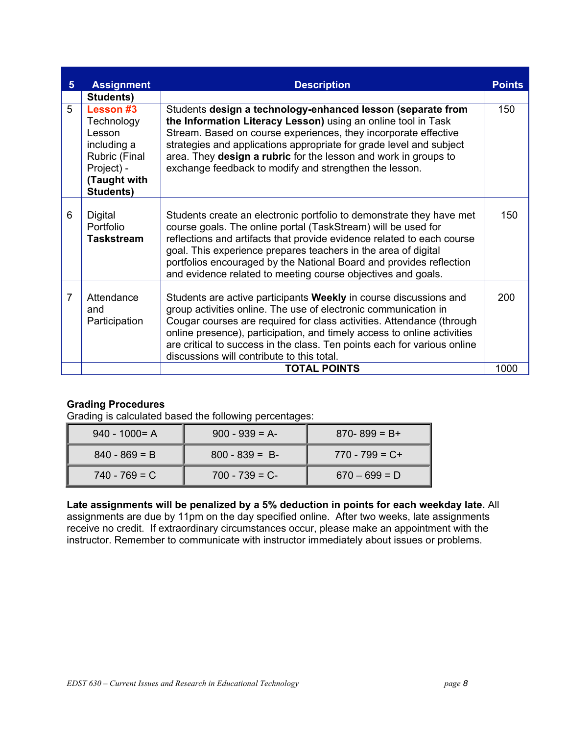| 5 <sup>5</sup> | <b>Assignment</b>                                                                                            | <b>Description</b>                                                                                                                                                                                                                                                                                                                                                                                                       | <b>Points</b> |
|----------------|--------------------------------------------------------------------------------------------------------------|--------------------------------------------------------------------------------------------------------------------------------------------------------------------------------------------------------------------------------------------------------------------------------------------------------------------------------------------------------------------------------------------------------------------------|---------------|
|                | Students)                                                                                                    |                                                                                                                                                                                                                                                                                                                                                                                                                          |               |
| 5              | Lesson #3<br>Technology<br>Lesson<br>including a<br>Rubric (Final<br>Project) -<br>(Taught with<br>Students) | Students design a technology-enhanced lesson (separate from<br>the Information Literacy Lesson) using an online tool in Task<br>Stream. Based on course experiences, they incorporate effective<br>strategies and applications appropriate for grade level and subject<br>area. They design a rubric for the lesson and work in groups to<br>exchange feedback to modify and strengthen the lesson.                      | 150           |
| 6              | <b>Digital</b><br>Portfolio<br>Taskstream                                                                    | Students create an electronic portfolio to demonstrate they have met<br>course goals. The online portal (TaskStream) will be used for<br>reflections and artifacts that provide evidence related to each course<br>goal. This experience prepares teachers in the area of digital<br>portfolios encouraged by the National Board and provides reflection<br>and evidence related to meeting course objectives and goals. | 150           |
| $\overline{7}$ | Attendance<br>and<br>Participation                                                                           | Students are active participants Weekly in course discussions and<br>group activities online. The use of electronic communication in<br>Cougar courses are required for class activities. Attendance (through<br>online presence), participation, and timely access to online activities<br>are critical to success in the class. Ten points each for various online<br>discussions will contribute to this total.       | 200           |
|                |                                                                                                              | <b>TOTAL POINTS</b>                                                                                                                                                                                                                                                                                                                                                                                                      | 1000          |

# **Grading Procedures**

Grading is calculated based the following percentages:

| $940 - 1000 = A$ | $900 - 939 = A$ | $870 - 899 = B +$ |
|------------------|-----------------|-------------------|
| $840 - 869 = B$  | $800 - 839 = B$ | $770 - 799 = C +$ |
| $740 - 769 = C$  | $700 - 739 = C$ | $670 - 699 = D$   |

**Late assignments will be penalized by a 5% deduction in points for each weekday late.** All assignments are due by 11pm on the day specified online. After two weeks, late assignments receive no credit. If extraordinary circumstances occur, please make an appointment with the instructor. Remember to communicate with instructor immediately about issues or problems.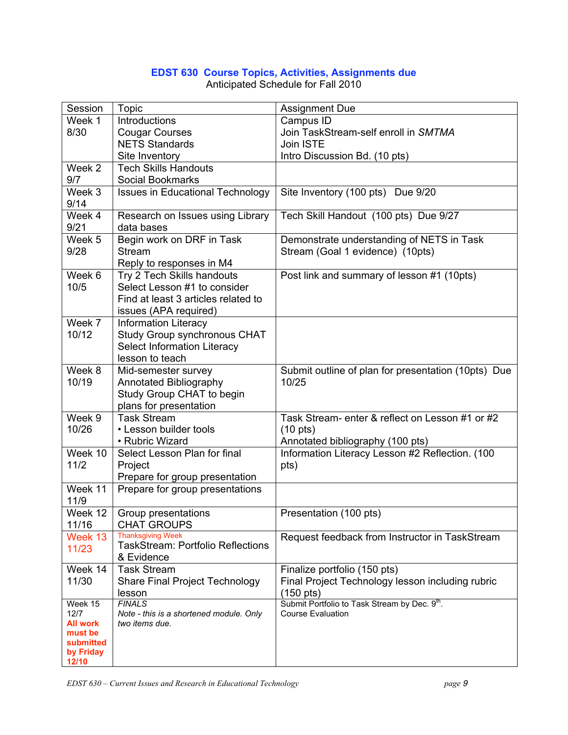# **EDST 630 Course Topics, Activities, Assignments due**

| Session<br><b>Topic</b><br><b>Assignment Due</b>                                                                                                        |  |
|---------------------------------------------------------------------------------------------------------------------------------------------------------|--|
| Week 1<br>Introductions<br>Campus ID                                                                                                                    |  |
| Join TaskStream-self enroll in SMTMA<br>8/30<br><b>Cougar Courses</b>                                                                                   |  |
| <b>NETS Standards</b><br>Join ISTE                                                                                                                      |  |
| Intro Discussion Bd. (10 pts)<br>Site Inventory                                                                                                         |  |
| Week <sub>2</sub><br><b>Tech Skills Handouts</b>                                                                                                        |  |
| 9/7<br>Social Bookmarks                                                                                                                                 |  |
| Week 3<br><b>Issues in Educational Technology</b><br>Site Inventory (100 pts) Due 9/20                                                                  |  |
| 9/14                                                                                                                                                    |  |
| Week 4<br>Tech Skill Handout (100 pts) Due 9/27<br>Research on Issues using Library                                                                     |  |
| 9/21<br>data bases                                                                                                                                      |  |
| Begin work on DRF in Task<br>Demonstrate understanding of NETS in Task<br>Week 5                                                                        |  |
| <b>Stream</b><br>9/28<br>Stream (Goal 1 evidence) (10pts)                                                                                               |  |
| Reply to responses in M4                                                                                                                                |  |
| Try 2 Tech Skills handouts<br>Week 6<br>Post link and summary of lesson #1 (10pts)                                                                      |  |
| 10/5<br>Select Lesson #1 to consider                                                                                                                    |  |
| Find at least 3 articles related to                                                                                                                     |  |
| issues (APA required)                                                                                                                                   |  |
| Week 7<br><b>Information Literacy</b>                                                                                                                   |  |
| 10/12<br>Study Group synchronous CHAT                                                                                                                   |  |
| Select Information Literacy                                                                                                                             |  |
| lesson to teach                                                                                                                                         |  |
| Week 8<br>Mid-semester survey<br>Submit outline of plan for presentation (10pts) Due                                                                    |  |
| 10/19<br>Annotated Bibliography<br>10/25                                                                                                                |  |
| Study Group CHAT to begin                                                                                                                               |  |
| plans for presentation                                                                                                                                  |  |
| Week 9<br><b>Task Stream</b><br>Task Stream- enter & reflect on Lesson #1 or #2                                                                         |  |
| 10/26<br>• Lesson builder tools<br>$(10 \text{ pts})$                                                                                                   |  |
| • Rubric Wizard<br>Annotated bibliography (100 pts)                                                                                                     |  |
| Week 10<br>Select Lesson Plan for final<br>Information Literacy Lesson #2 Reflection. (100                                                              |  |
| $11/2$<br>pts)<br>Project                                                                                                                               |  |
| Prepare for group presentation                                                                                                                          |  |
| Week 11<br>Prepare for group presentations                                                                                                              |  |
| 11/9                                                                                                                                                    |  |
| Week 12   Group presentations<br>Presentation (100 pts)                                                                                                 |  |
| 11/16<br><b>CHAT GROUPS</b>                                                                                                                             |  |
| <b>Thanksgiving Week</b><br>Week 13<br>Request feedback from Instructor in TaskStream                                                                   |  |
| <b>TaskStream: Portfolio Reflections</b><br>11/23                                                                                                       |  |
| & Evidence                                                                                                                                              |  |
| <b>Task Stream</b><br>Finalize portfolio (150 pts)<br>Week 14                                                                                           |  |
| 11/30<br>Final Project Technology lesson including rubric<br><b>Share Final Project Technology</b>                                                      |  |
| $(150 \text{ pts})$<br>lesson                                                                                                                           |  |
| Submit Portfolio to Task Stream by Dec. 9th.<br><b>FINALS</b><br>Week 15<br>12/7<br><b>Course Evaluation</b><br>Note - this is a shortened module. Only |  |
| <b>All work</b><br>two items due.                                                                                                                       |  |
| must be                                                                                                                                                 |  |
| submitted                                                                                                                                               |  |
| by Friday                                                                                                                                               |  |

Anticipated Schedule for Fall 2010